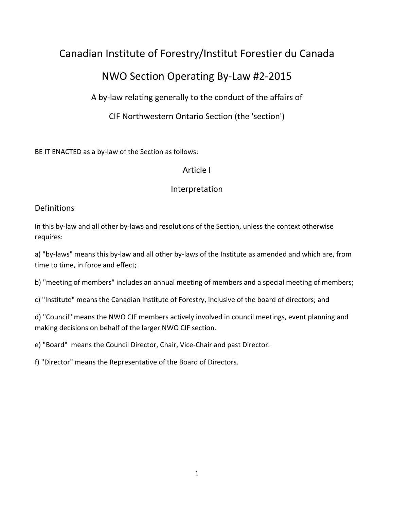# Canadian Institute of Forestry/Institut Forestier du Canada

# NWO Section Operating By-Law #2-2015

A by-law relating generally to the conduct of the affairs of

CIF Northwestern Ontario Section (the 'section')

BE IT ENACTED as a by-law of the Section as follows:

#### Article I

#### Interpretation

#### **Definitions**

In this by-law and all other by-laws and resolutions of the Section, unless the context otherwise requires:

a) "by-laws" means this by-law and all other by-laws of the Institute as amended and which are, from time to time, in force and effect;

b) "meeting of members" includes an annual meeting of members and a special meeting of members;

c) "Institute" means the Canadian Institute of Forestry, inclusive of the board of directors; and

d) "Council" means the NWO CIF members actively involved in council meetings, event planning and making decisions on behalf of the larger NWO CIF section.

e) "Board" means the Council Director, Chair, Vice-Chair and past Director.

f) "Director" means the Representative of the Board of Directors.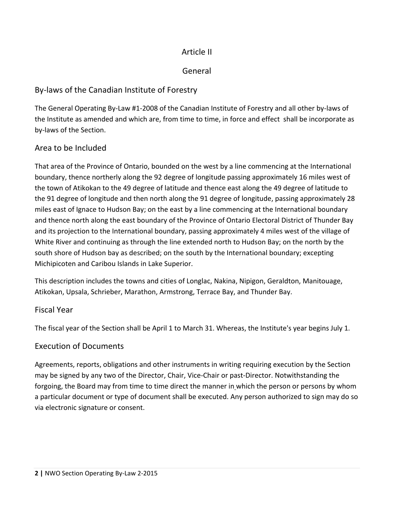#### Article II

### General

# By-laws of the Canadian Institute of Forestry

The General Operating By-Law #1-2008 of the Canadian Institute of Forestry and all other by-laws of the Institute as amended and which are, from time to time, in force and effect shall be incorporate as by-laws of the Section.

# Area to be Included

That area of the Province of Ontario, bounded on the west by a line commencing at the International boundary, thence northerly along the 92 degree of longitude passing approximately 16 miles west of the town of Atikokan to the 49 degree of latitude and thence east along the 49 degree of latitude to the 91 degree of longitude and then north along the 91 degree of longitude, passing approximately 28 miles east of Ignace to Hudson Bay; on the east by a line commencing at the International boundary and thence north along the east boundary of the Province of Ontario Electoral District of Thunder Bay and its projection to the International boundary, passing approximately 4 miles west of the village of White River and continuing as through the line extended north to Hudson Bay; on the north by the south shore of Hudson bay as described; on the south by the International boundary; excepting Michipicoten and Caribou Islands in Lake Superior.

This description includes the towns and cities of Longlac, Nakina, Nipigon, Geraldton, Manitouage, Atikokan, Upsala, Schrieber, Marathon, Armstrong, Terrace Bay, and Thunder Bay.

#### Fiscal Year

The fiscal year of the Section shall be April 1 to March 31. Whereas, the Institute's year begins July 1.

# Execution of Documents

Agreements, reports, obligations and other instruments in writing requiring execution by the Section may be signed by any two of the Director, Chair, Vice-Chair or past-Director. Notwithstanding the forgoing, the Board may from time to time direct the manner in which the person or persons by whom a particular document or type of document shall be executed. Any person authorized to sign may do so via electronic signature or consent.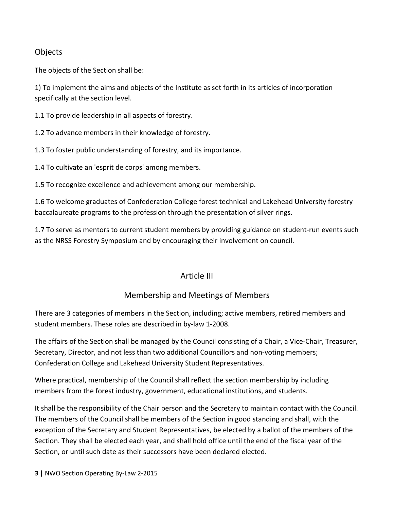### Objects

The objects of the Section shall be:

1) To implement the aims and objects of the Institute as set forth in its articles of incorporation specifically at the section level.

1.1 To provide leadership in all aspects of forestry.

1.2 To advance members in their knowledge of forestry.

1.3 To foster public understanding of forestry, and its importance.

1.4 To cultivate an 'esprit de corps' among members.

1.5 To recognize excellence and achievement among our membership.

1.6 To welcome graduates of Confederation College forest technical and Lakehead University forestry baccalaureate programs to the profession through the presentation of silver rings.

1.7 To serve as mentors to current student members by providing guidance on student-run events such as the NRSS Forestry Symposium and by encouraging their involvement on council.

#### Article III

#### Membership and Meetings of Members

There are 3 categories of members in the Section, including; active members, retired members and student members. These roles are described in by-law 1-2008.

The affairs of the Section shall be managed by the Council consisting of a Chair, a Vice-Chair, Treasurer, Secretary, Director, and not less than two additional Councillors and non-voting members; Confederation College and Lakehead University Student Representatives.

Where practical, membership of the Council shall reflect the section membership by including members from the forest industry, government, educational institutions, and students.

It shall be the responsibility of the Chair person and the Secretary to maintain contact with the Council. The members of the Council shall be members of the Section in good standing and shall, with the exception of the Secretary and Student Representatives, be elected by a ballot of the members of the Section. They shall be elected each year, and shall hold office until the end of the fiscal year of the Section, or until such date as their successors have been declared elected.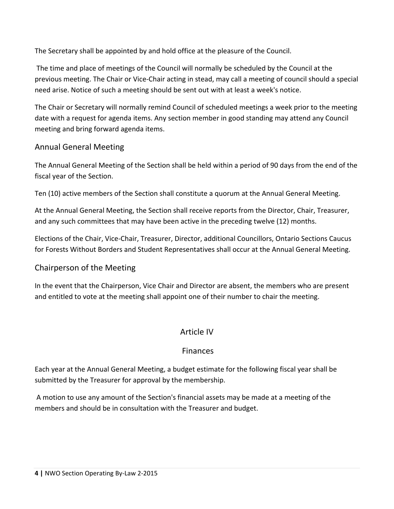The Secretary shall be appointed by and hold office at the pleasure of the Council.

The time and place of meetings of the Council will normally be scheduled by the Council at the previous meeting. The Chair or Vice-Chair acting in stead, may call a meeting of council should a special need arise. Notice of such a meeting should be sent out with at least a week's notice.

The Chair or Secretary will normally remind Council of scheduled meetings a week prior to the meeting date with a request for agenda items. Any section member in good standing may attend any Council meeting and bring forward agenda items.

## Annual General Meeting

The Annual General Meeting of the Section shall be held within a period of 90 days from the end of the fiscal year of the Section.

Ten (10) active members of the Section shall constitute a quorum at the Annual General Meeting.

At the Annual General Meeting, the Section shall receive reports from the Director, Chair, Treasurer, and any such committees that may have been active in the preceding twelve (12) months.

Elections of the Chair, Vice-Chair, Treasurer, Director, additional Councillors, Ontario Sections Caucus for Forests Without Borders and Student Representatives shall occur at the Annual General Meeting.

# Chairperson of the Meeting

In the event that the Chairperson, Vice Chair and Director are absent, the members who are present and entitled to vote at the meeting shall appoint one of their number to chair the meeting.

# Article IV

#### Finances

Each year at the Annual General Meeting, a budget estimate for the following fiscal year shall be submitted by the Treasurer for approval by the membership.

A motion to use any amount of the Section's financial assets may be made at a meeting of the members and should be in consultation with the Treasurer and budget.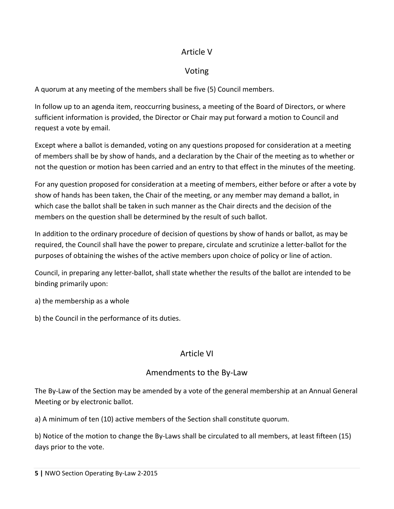### Article V

# Voting

A quorum at any meeting of the members shall be five (5) Council members.

In follow up to an agenda item, reoccurring business, a meeting of the Board of Directors, or where sufficient information is provided, the Director or Chair may put forward a motion to Council and request a vote by email.

Except where a ballot is demanded, voting on any questions proposed for consideration at a meeting of members shall be by show of hands, and a declaration by the Chair of the meeting as to whether or not the question or motion has been carried and an entry to that effect in the minutes of the meeting.

For any question proposed for consideration at a meeting of members, either before or after a vote by show of hands has been taken, the Chair of the meeting, or any member may demand a ballot, in which case the ballot shall be taken in such manner as the Chair directs and the decision of the members on the question shall be determined by the result of such ballot.

In addition to the ordinary procedure of decision of questions by show of hands or ballot, as may be required, the Council shall have the power to prepare, circulate and scrutinize a letter-ballot for the purposes of obtaining the wishes of the active members upon choice of policy or line of action.

Council, in preparing any letter-ballot, shall state whether the results of the ballot are intended to be binding primarily upon:

a) the membership as a whole

b) the Council in the performance of its duties.

# Article VI

# Amendments to the By-Law

The By-Law of the Section may be amended by a vote of the general membership at an Annual General Meeting or by electronic ballot.

a) A minimum of ten (10) active members of the Section shall constitute quorum.

b) Notice of the motion to change the By-Laws shall be circulated to all members, at least fifteen (15) days prior to the vote.